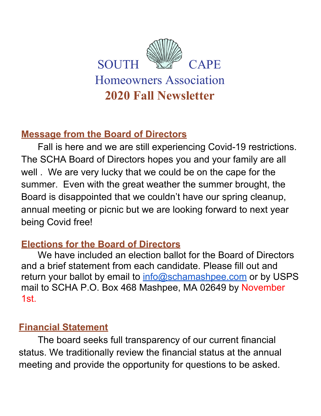

### **Message from the Board of Directors**

Fall is here and we are still experiencing Covid-19 restrictions. The SCHA Board of Directors hopes you and your family are all well . We are very lucky that we could be on the cape for the summer. Even with the great weather the summer brought, the Board is disappointed that we couldn't have our spring cleanup, annual meeting or picnic but we are looking forward to next year being Covid free!

### **Elections for the Board of Directors**

We have included an election ballot for the Board of Directors and a brief statement from each candidate. Please fill out and return your ballot by email to [info@schamashpee.com](mailto:info@schamashpee.com) or by USPS mail to SCHA P.O. Box 468 Mashpee, MA 02649 by November 1st.

### **Financial Statement**

The board seeks full transparency of our current financial status. We traditionally review the financial status at the annual meeting and provide the opportunity for questions to be asked.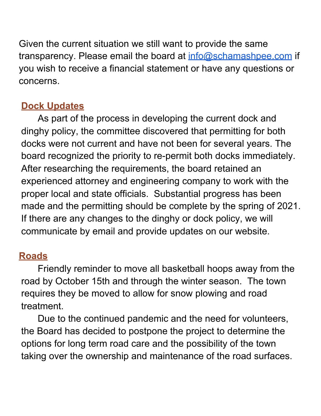Given the current situation we still want to provide the same transparency. Please email the board at [info@schamashpee.com](mailto:info@schamashpee.com) if you wish to receive a financial statement or have any questions or concerns.

## **Dock Updates**

As part of the process in developing the current dock and dinghy policy, the committee discovered that permitting for both docks were not current and have not been for several years. The board recognized the priority to re-permit both docks immediately. After researching the requirements, the board retained an experienced attorney and engineering company to work with the proper local and state officials. Substantial progress has been made and the permitting should be complete by the spring of 2021. If there are any changes to the dinghy or dock policy, we will communicate by email and provide updates on our website.

# **Roads**

Friendly reminder to move all basketball hoops away from the road by October 15th and through the winter season. The town requires they be moved to allow for snow plowing and road treatment.

Due to the continued pandemic and the need for volunteers, the Board has decided to postpone the project to determine the options for long term road care and the possibility of the town taking over the ownership and maintenance of the road surfaces.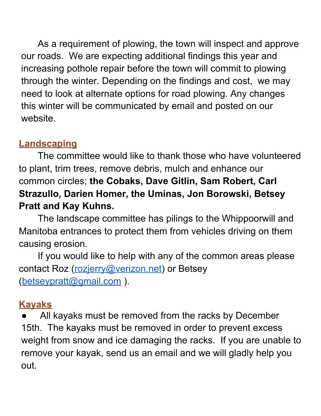As a requirement of plowing, the town will inspect and approve our roads. We are expecting additional findings this year and increasing pothole repair before the town will commit to plowing through the winter. Depending on the findings and cost, we may need to look at alternate options for road plowing. Any changes this winter will be communicated by email and posted on our website.

## **Landscaping**

The committee would like to thank those who have volunteered to plant, trim trees, remove debris, mulch and enhance our common circles; **the Cobaks, Dave Gitlin, Sam Robert, Carl Strazullo, Darien Homer, the Uminas, Jon Borowski, Betsey Pratt and Kay Kuhns.**

The landscape committee has pilings to the Whippoorwill and Manitoba entrances to protect them from vehicles driving on them causing erosion.

If you would like to help with any of the common areas please contact Roz ([rozjerry@verizon.net](mailto:rozjerry@verizon.nt)) or Betsey ([betseypratt@gmail.com](mailto:betseypratt@gmail.com) ).

# **Kayaks**

All kayaks must be removed from the racks by December 15th. The kayaks must be removed in order to prevent excess weight from snow and ice damaging the racks. If you are unable to remove your kayak, send us an email and we will gladly help you out.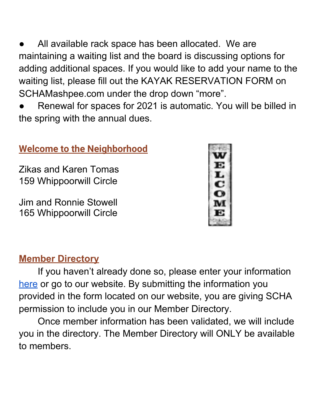All available rack space has been allocated. We are maintaining a waiting list and the board is discussing options for adding additional spaces. If you would like to add your name to the waiting list, please fill out the KAYAK RESERVATION FORM on SCHAMashpee.com under the drop down "more".

Renewal for spaces for 2021 is automatic. You will be billed in the spring with the annual dues.

#### **Welcome to the Neighborhood**

Zikas and Karen Tomas 159 Whippoorwill Circle

Jim and Ronnie Stowell 165 Whippoorwill Circle



#### **Member Directory**

If you haven't already done so, please enter your information [here](http://schamashpee.com/) or go to our website. By submitting the information you provided in the form located on our website, you are giving SCHA permission to include you in our Member Directory.

Once member information has been validated, we will include you in the directory. The Member Directory will ONLY be available to members.